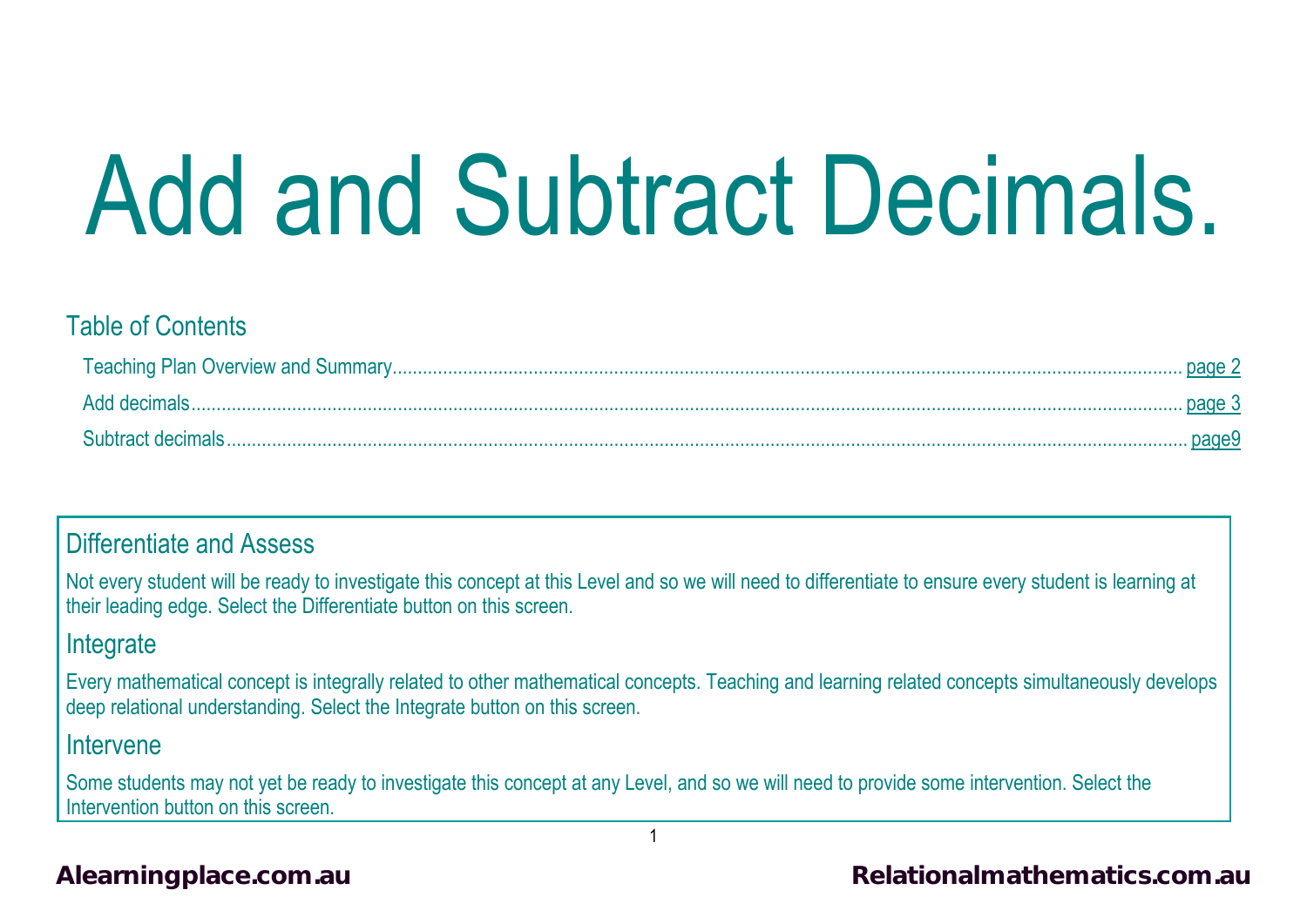# Add and Subtract Decimals.

## Table of Contents

### Differentiate and Assess

Not every student will be ready to investigate this concept at this Level and so we will need to differentiate to ensure every student is learning at their leading edge. Select the Differentiate button on this screen.

### **Integrate**

Every mathematical concept is integrally related to other mathematical concepts. Teaching and learning related concepts simultaneously develops deep relational understanding. Select the Integrate button on this screen.

#### Intervene

Some students may not yet be ready to investigate this concept at any Level, and so we will need to provide some intervention. Select the Intervention button on this screen.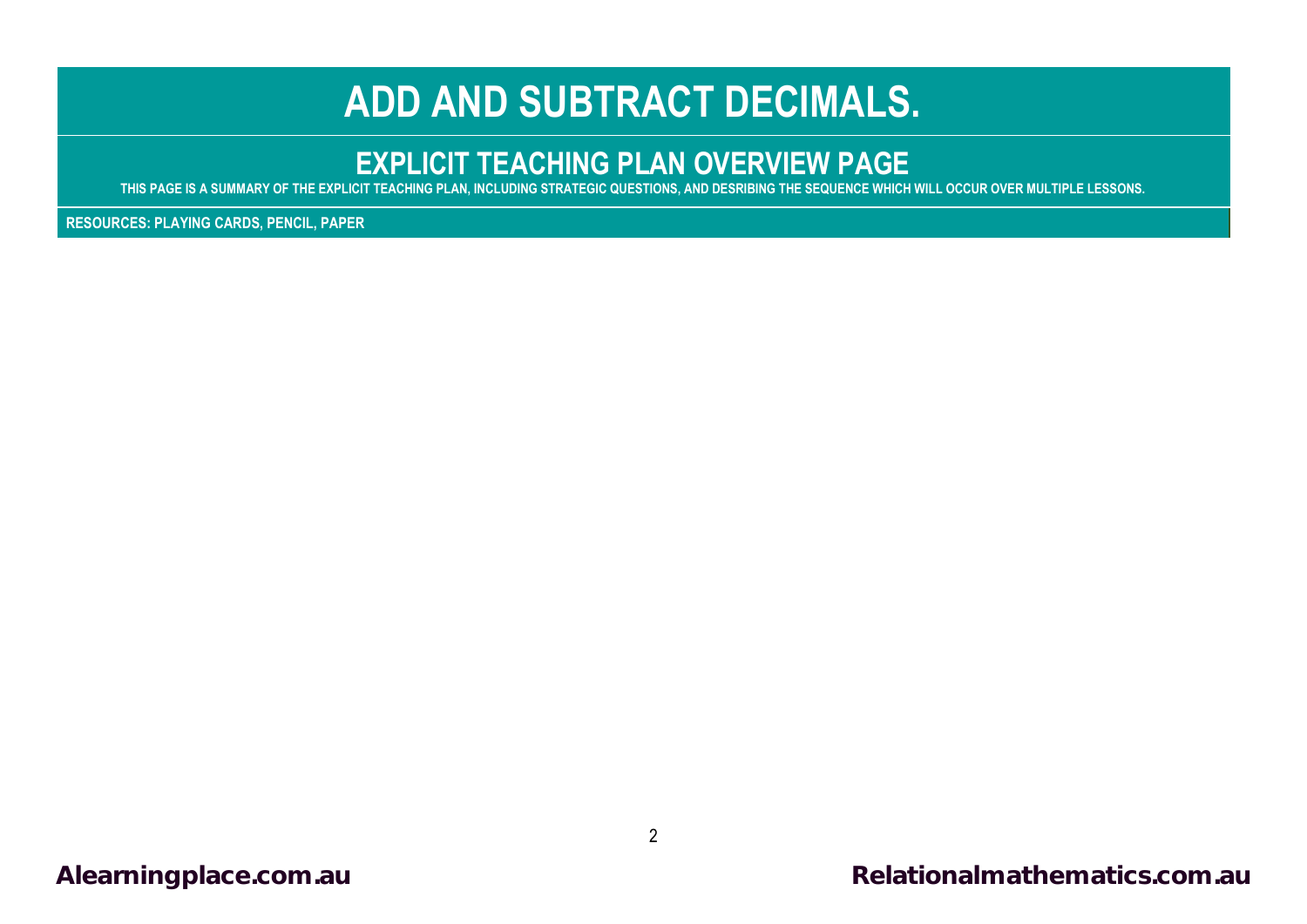## **ADD AND SUBTRACT DECIMALS.**

## **EXPLICIT TEACHING PLAN OVERVIEW PAGE**

<span id="page-1-0"></span>**THIS PAGE IS A SUMMARY OF THE EXPLICIT TEACHING PLAN, INCLUDING STRATEGIC QUESTIONS, AND DESRIBING THE SEQUENCE WHICH WILL OCCUR OVER MULTIPLE LESSONS.**

**RESOURCES: PLAYING CARDS, PENCIL, PAPER**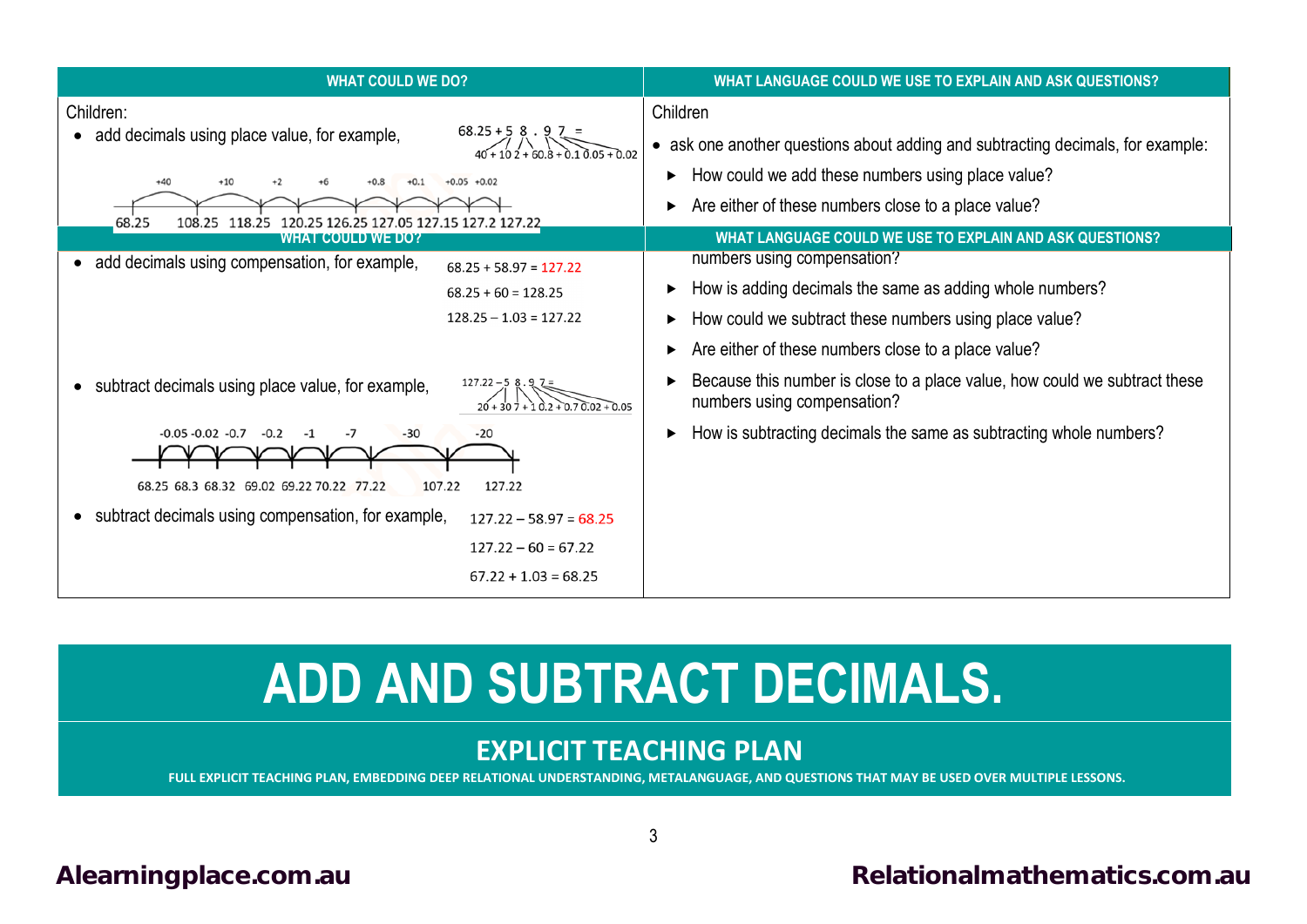| <b>WHAT COULD WE DO?</b>                                              |                                                             | WHAT LANGUAGE COULD WE USE TO EXPLAIN AND ASK QUESTIONS?                                                  |
|-----------------------------------------------------------------------|-------------------------------------------------------------|-----------------------------------------------------------------------------------------------------------|
| Children:                                                             |                                                             | Children                                                                                                  |
| add decimals using place value, for example,<br>$\bullet$             | $68.25 + 58$ .                                              | ask one another questions about adding and subtracting decimals, for example:                             |
| $+40$<br>$+10$<br>$+0.1$<br>$+0.8$<br>$+2$                            | $+0.05 +0.02$                                               | How could we add these numbers using place value?<br>▶                                                    |
| 68.25<br>108.25<br>120.25 126.25 127.05 127.15 127.2 127.22<br>118.25 |                                                             | Are either of these numbers close to a place value?<br>▶                                                  |
| WHAT COULD WE DO?                                                     |                                                             | WHAT LANGUAGE COULD WE USE TO EXPLAIN AND ASK QUESTIONS?                                                  |
| add decimals using compensation, for example,                         | $68.25 + 58.97 = 127.22$                                    | numbers using compensation?                                                                               |
|                                                                       | $68.25 + 60 = 128.25$                                       | How is adding decimals the same as adding whole numbers?                                                  |
|                                                                       | $128.25 - 1.03 = 127.22$                                    | How could we subtract these numbers using place value?<br>▶                                               |
|                                                                       |                                                             | Are either of these numbers close to a place value?<br>▶                                                  |
| subtract decimals using place value, for example,<br>$\bullet$        | $127.22 - 58.9$ $7 =$<br>$20 + 307 + 10.2 + 0.70.02 + 0.05$ | Because this number is close to a place value, how could we subtract these<br>numbers using compensation? |
| $-0.05 - 0.02 - 0.7$<br>$-0.2$<br>$-7$<br>$-30$<br>$-1$               | $-20$                                                       | How is subtracting decimals the same as subtracting whole numbers?                                        |
| 68.25 68.3 68.32 69.02 69.22 70.22 77.22<br>107.22                    | 127.22                                                      |                                                                                                           |
| subtract decimals using compensation, for example,<br>$\bullet$       | $127.22 - 58.97 = 68.25$                                    |                                                                                                           |
|                                                                       | $127.22 - 60 = 67.22$                                       |                                                                                                           |
|                                                                       | $67.22 + 1.03 = 68.25$                                      |                                                                                                           |

# **ADD AND SUBTRACT DECIMALS.**

## **EXPLICIT TEACHING PLAN**

**FULL EXPLICIT TEACHING PLAN, EMBEDDING DEEP RELATIONAL UNDERSTANDING, METALANGUAGE, AND QUESTIONS THAT MAY BE USED OVER MULTIPLE LESSONS.**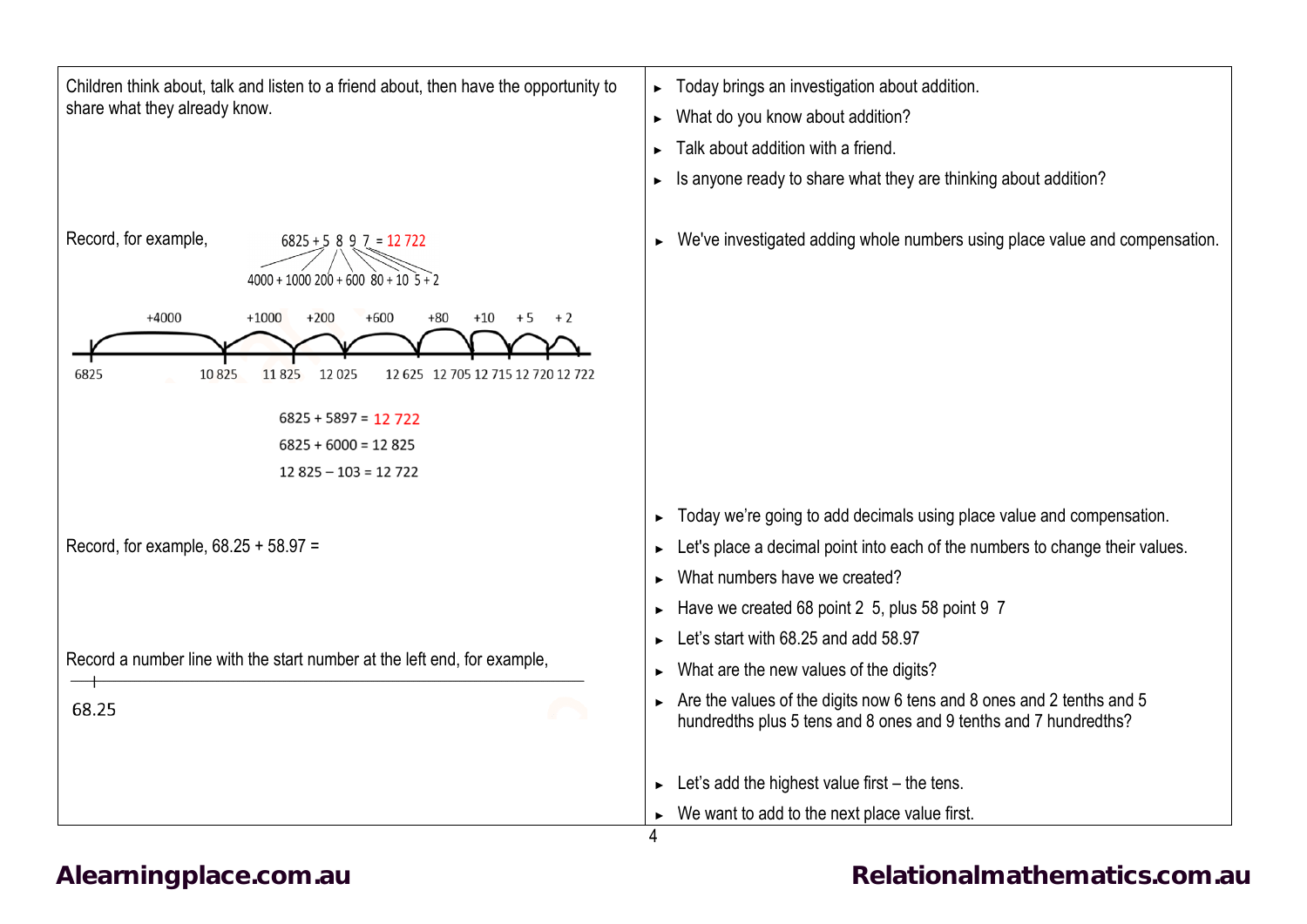| Children think about, talk and listen to a friend about, then have the opportunity to<br>share what they already know.                            | Today brings an investigation about addition.<br>What do you know about addition?<br>Talk about addition with a friend.<br>Is anyone ready to share what they are thinking about addition? |
|---------------------------------------------------------------------------------------------------------------------------------------------------|--------------------------------------------------------------------------------------------------------------------------------------------------------------------------------------------|
| Record, for example,<br>$6825 + 5897 = 12722$<br>$4000 + 1000200 + 60080 + 105 + 2$                                                               | We've investigated adding whole numbers using place value and compensation.                                                                                                                |
| $+4000$<br>$+600$<br>$+80$<br>$+10$<br>$+1000$<br>$+200$<br>$+5$<br>$+2$<br>6825<br>10825<br>11825<br>12025<br>12 625 12 705 12 715 12 720 12 722 |                                                                                                                                                                                            |
| $6825 + 5897 = 12722$                                                                                                                             |                                                                                                                                                                                            |
| $6825 + 6000 = 12825$                                                                                                                             |                                                                                                                                                                                            |
| $12825 - 103 = 12722$                                                                                                                             |                                                                                                                                                                                            |
| Record, for example, $68.25 + 58.97 =$                                                                                                            | Today we're going to add decimals using place value and compensation.<br>Let's place a decimal point into each of the numbers to change their values.<br>What numbers have we created?     |
|                                                                                                                                                   | Have we created 68 point 2 5, plus 58 point 9 7                                                                                                                                            |
|                                                                                                                                                   | Let's start with 68.25 and add 58.97                                                                                                                                                       |
| Record a number line with the start number at the left end, for example,                                                                          | What are the new values of the digits?                                                                                                                                                     |
| 68.25                                                                                                                                             | Are the values of the digits now 6 tens and 8 ones and 2 tenths and 5<br>hundredths plus 5 tens and 8 ones and 9 tenths and 7 hundredths?                                                  |
|                                                                                                                                                   | Let's add the highest value first - the tens.                                                                                                                                              |
|                                                                                                                                                   | We want to add to the next place value first.                                                                                                                                              |
|                                                                                                                                                   | 4                                                                                                                                                                                          |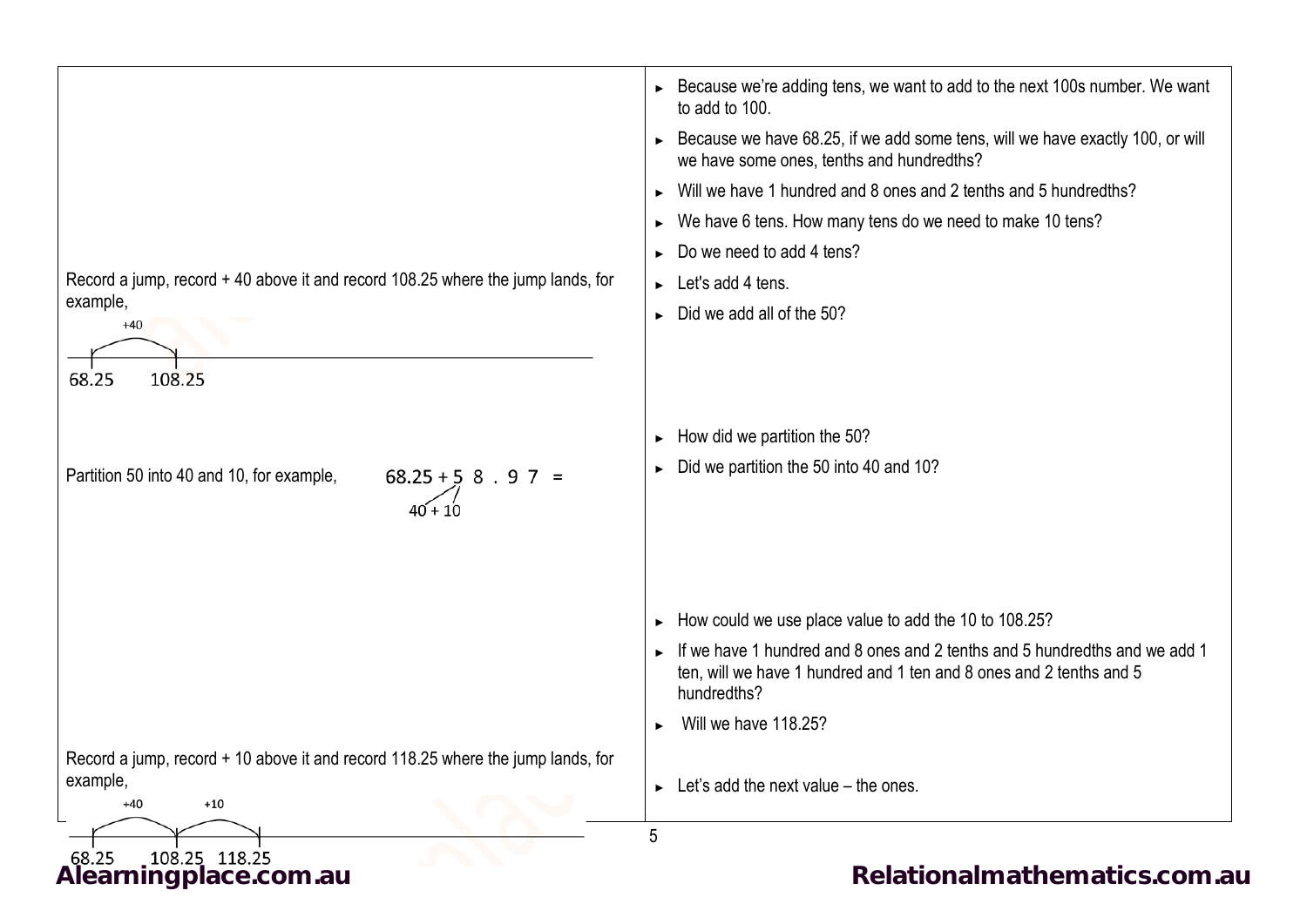|                                                                                 | ► Because we're adding tens, we want to add to the next 100s number. We want<br>to add to 100.                               |
|---------------------------------------------------------------------------------|------------------------------------------------------------------------------------------------------------------------------|
|                                                                                 | ► Because we have 68.25, if we add some tens, will we have exactly 100, or will<br>we have some ones, tenths and hundredths? |
|                                                                                 | Will we have 1 hundred and 8 ones and 2 tenths and 5 hundredths?                                                             |
|                                                                                 | ► We have 6 tens. How many tens do we need to make 10 tens?                                                                  |
|                                                                                 | Do we need to add 4 tens?                                                                                                    |
| Record a jump, record + 40 above it and record 108.25 where the jump lands, for | $\blacktriangleright$ Let's add 4 tens.                                                                                      |
| example,<br>$+40$                                                               | $\triangleright$ Did we add all of the 50?                                                                                   |
|                                                                                 |                                                                                                                              |
| 108.25<br>68.25                                                                 |                                                                                                                              |
|                                                                                 |                                                                                                                              |
|                                                                                 | How did we partition the 50?<br>$\blacktriangleright$                                                                        |
| Partition 50 into 40 and 10, for example,<br>$68.25 + 58.97 =$                  | Did we partition the 50 into 40 and 10?                                                                                      |
| $40 + 10$                                                                       |                                                                                                                              |
|                                                                                 |                                                                                                                              |
|                                                                                 |                                                                                                                              |
|                                                                                 |                                                                                                                              |
|                                                                                 | How could we use place value to add the 10 to 108.25?<br>$\blacktriangleright$                                               |
|                                                                                 | If we have 1 hundred and 8 ones and 2 tenths and 5 hundredths and we add 1                                                   |
|                                                                                 | ten, will we have 1 hundred and 1 ten and 8 ones and 2 tenths and 5<br>hundredths?                                           |
|                                                                                 | Will we have 118.25?                                                                                                         |
| Record a jump, record + 10 above it and record 118.25 where the jump lands, for |                                                                                                                              |
| example,                                                                        | $\blacktriangleright$ Let's add the next value – the ones.                                                                   |
| $+10$<br>+40                                                                    |                                                                                                                              |
| 108.25 118.25                                                                   | 5                                                                                                                            |
| 68.25                                                                           | <b>DUITE</b>                                                                                                                 |

[Alearningplace.com.au](https://alearningplace.com.au/) **big and the set of the set of the set of the [Relationalmathematics.com.au](http://relationalmathematics.com.au/)**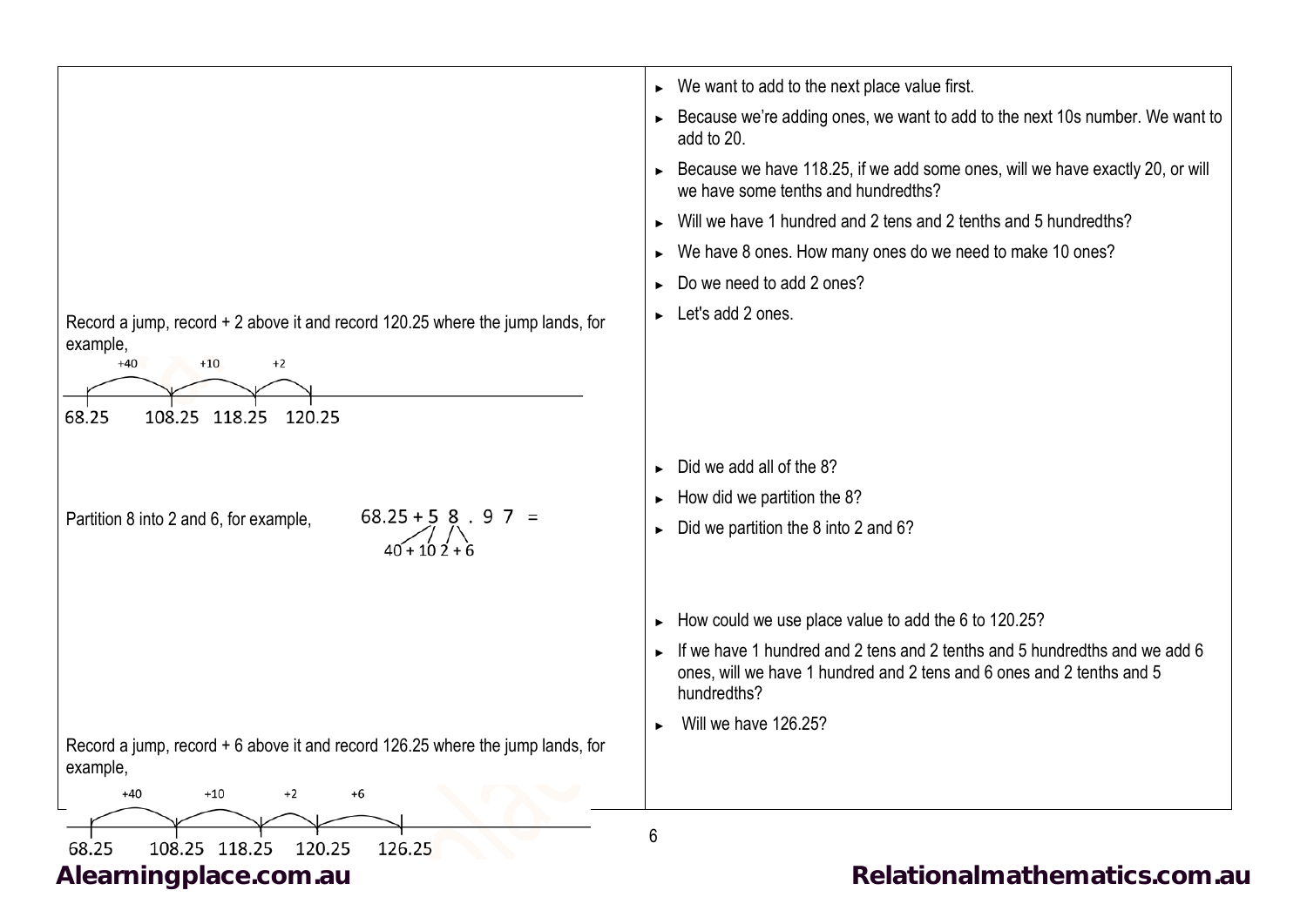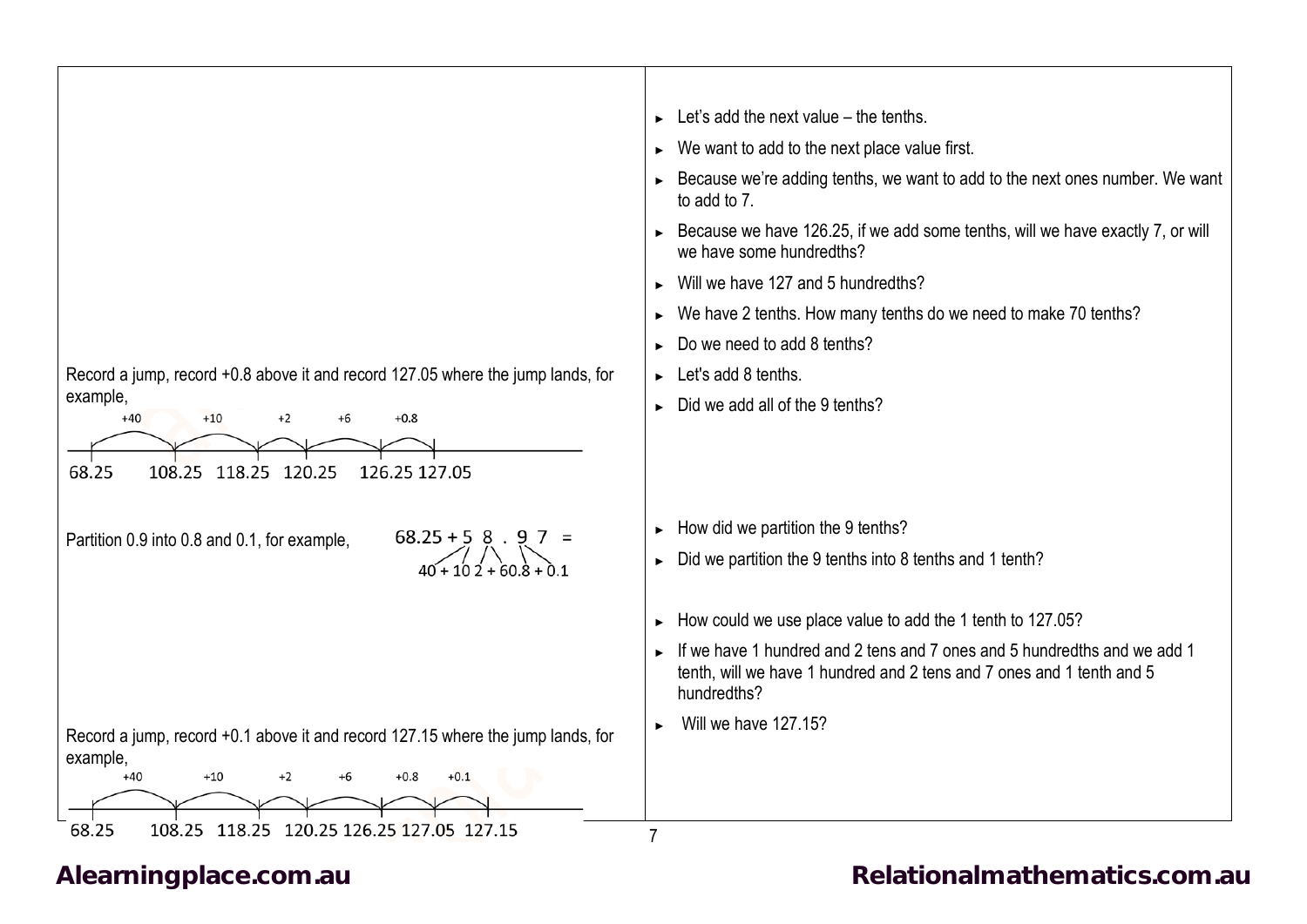| Record a jump, record +0.8 above it and record 127.05 where the jump lands, for<br>example,<br>$+0.8$<br>$+10$<br>$+2$<br>$+6$<br>$+40$<br>68.25<br>118.25 120.25<br>108.25<br>126.25 127.05            | $\blacktriangleright$ Let's add the next value – the tenths.<br>We want to add to the next place value first.<br>► Because we're adding tenths, we want to add to the next ones number. We want<br>to add to 7.<br>$\triangleright$ Because we have 126.25, if we add some tenths, will we have exactly 7, or will<br>we have some hundredths?<br>$\triangleright$ Will we have 127 and 5 hundredths?<br>We have 2 tenths. How many tenths do we need to make 70 tenths?<br>$\triangleright$ Do we need to add 8 tenths?<br>$\blacktriangleright$ Let's add 8 tenths.<br>$\triangleright$ Did we add all of the 9 tenths? |
|---------------------------------------------------------------------------------------------------------------------------------------------------------------------------------------------------------|---------------------------------------------------------------------------------------------------------------------------------------------------------------------------------------------------------------------------------------------------------------------------------------------------------------------------------------------------------------------------------------------------------------------------------------------------------------------------------------------------------------------------------------------------------------------------------------------------------------------------|
| $68.25 + 58$<br>97<br>Partition 0.9 into 0.8 and 0.1, for example,<br>$40 + 102 + 60.8 + 0.1$                                                                                                           | How did we partition the 9 tenths?<br>Did we partition the 9 tenths into 8 tenths and 1 tenth?                                                                                                                                                                                                                                                                                                                                                                                                                                                                                                                            |
|                                                                                                                                                                                                         | $\blacktriangleright$ How could we use place value to add the 1 tenth to 127.05?<br>If we have 1 hundred and 2 tens and 7 ones and 5 hundredths and we add 1<br>tenth, will we have 1 hundred and 2 tens and 7 ones and 1 tenth and 5<br>hundredths?                                                                                                                                                                                                                                                                                                                                                                      |
| Record a jump, record +0.1 above it and record 127.15 where the jump lands, for<br>example,<br>$+10$<br>$+2$<br>$+0.8$<br>$+0.1$<br>$+40$<br>$+6$<br>108.25 118.25 120.25 126.25 127.05 127.15<br>68.25 | Will we have 127,15?<br>$\overline{7}$                                                                                                                                                                                                                                                                                                                                                                                                                                                                                                                                                                                    |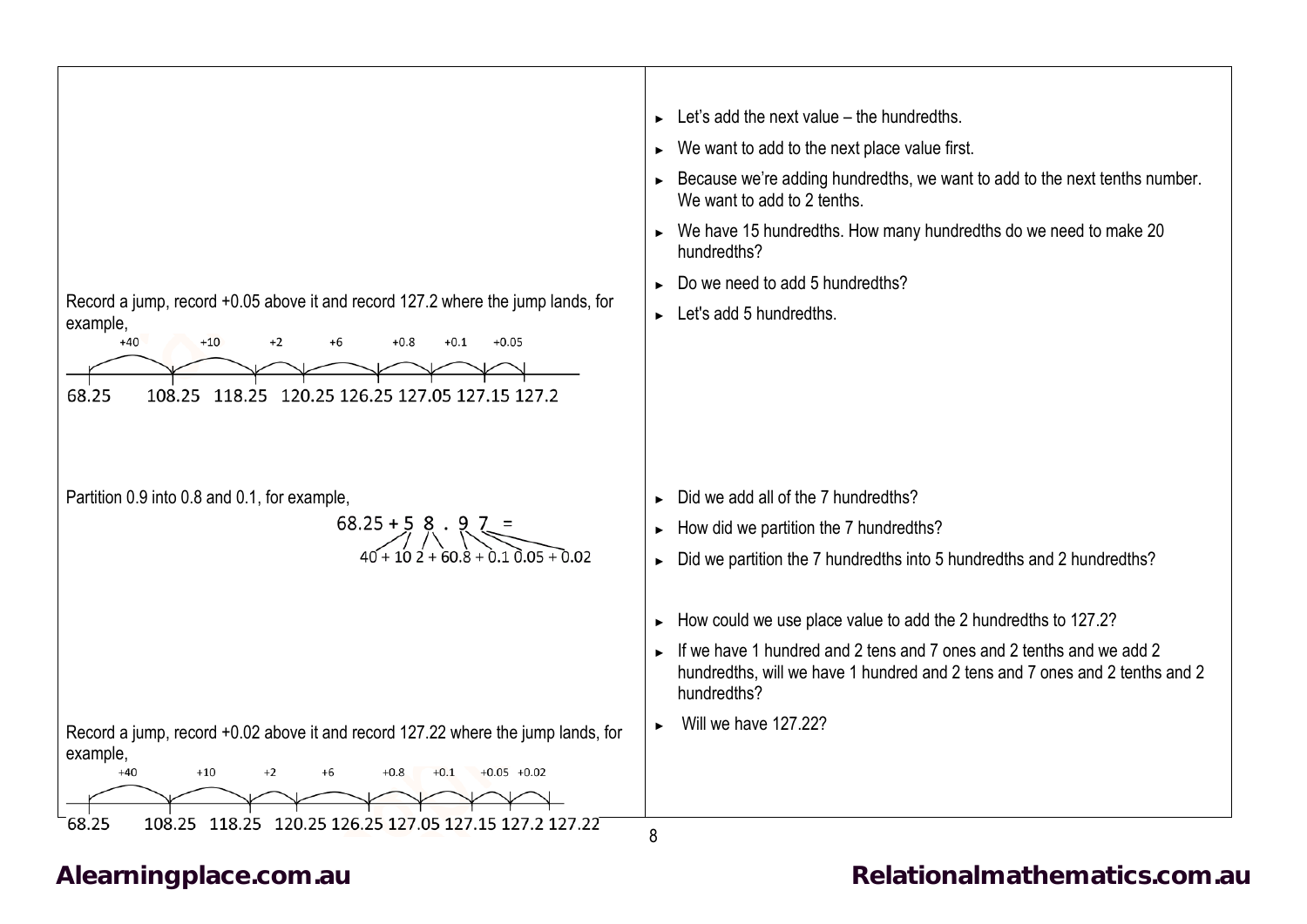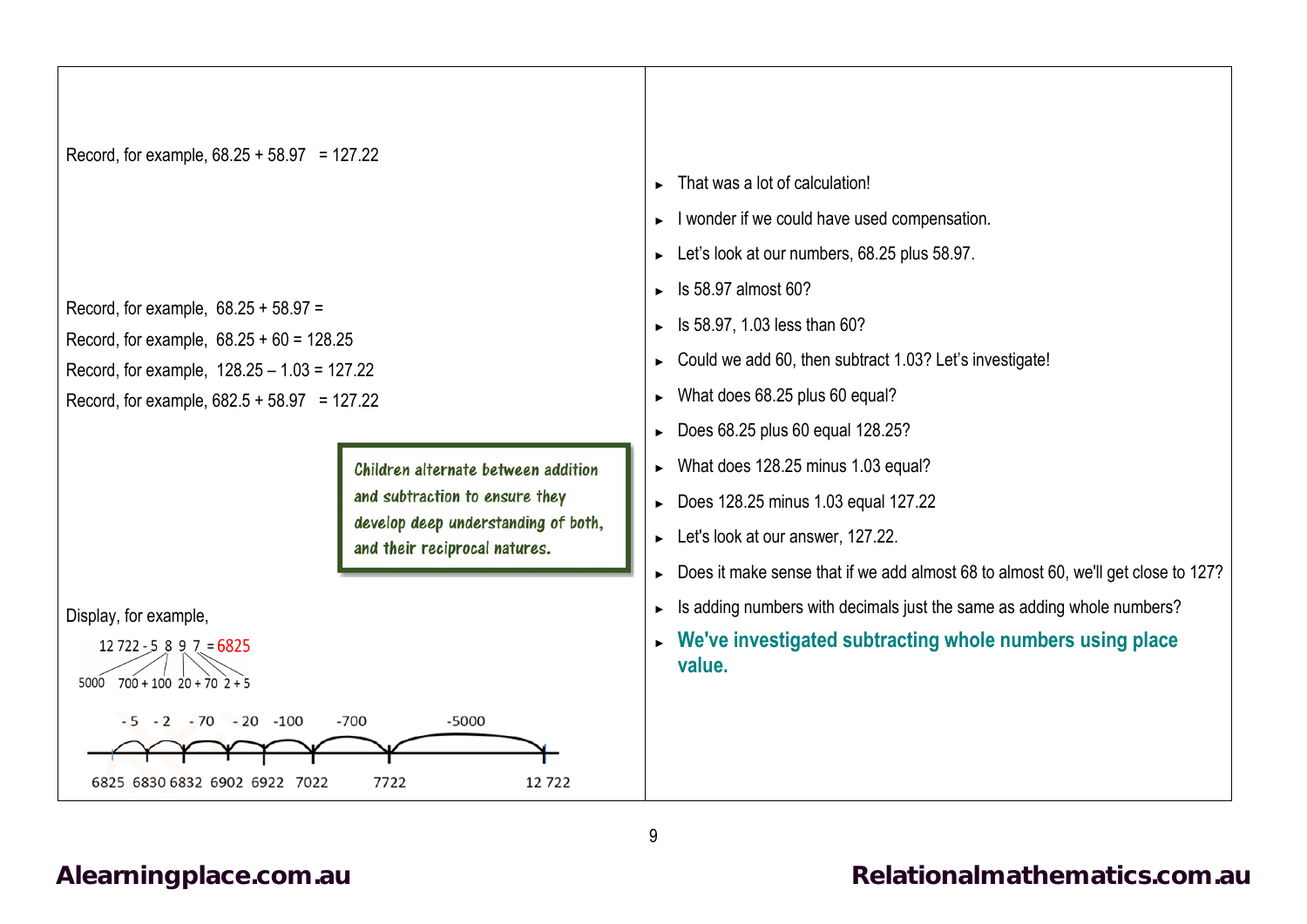<span id="page-8-0"></span>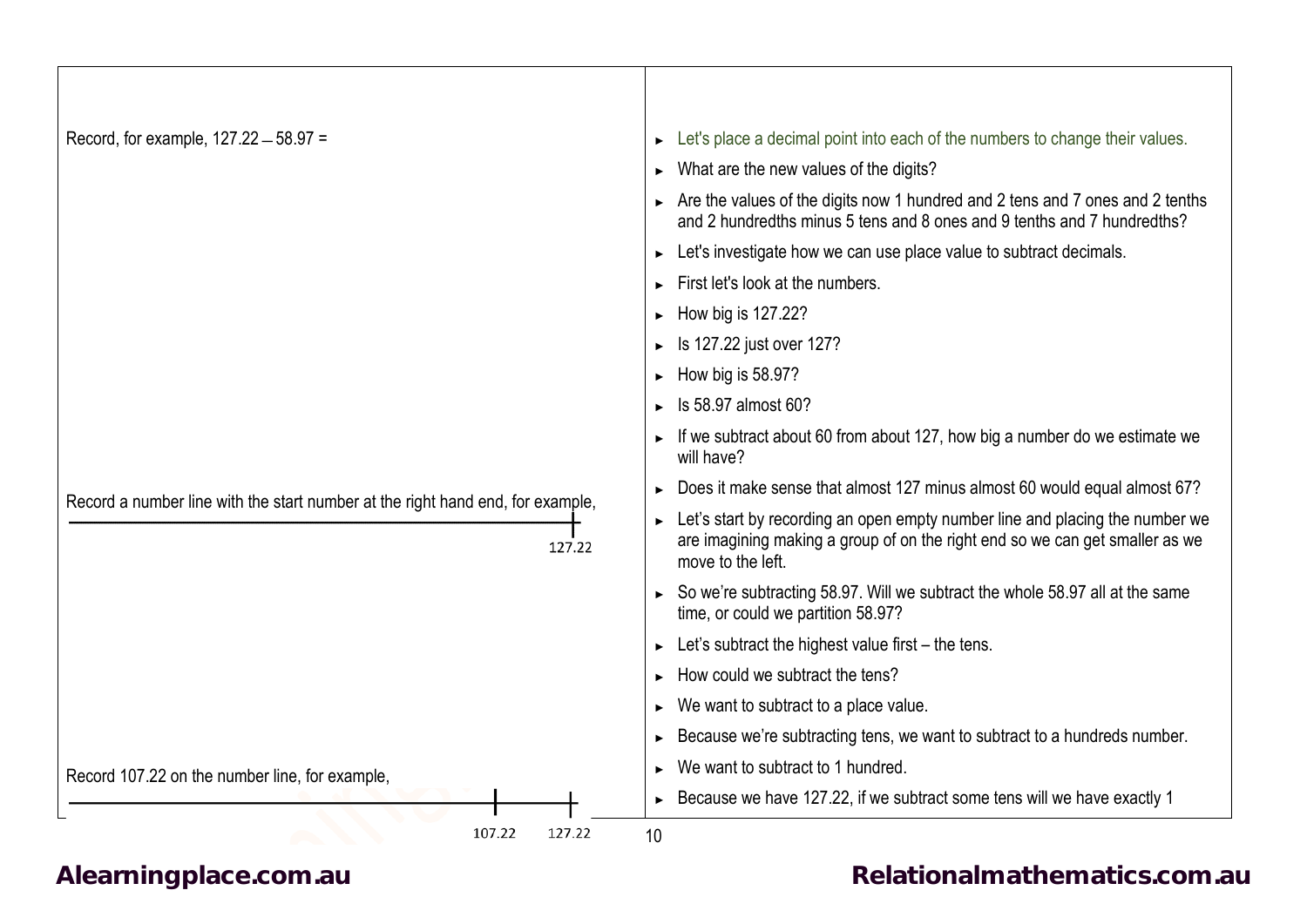| Record, for example, 127.22 - 58.97 =                                          | Let's place a decimal point into each of the numbers to change their values.<br>Þ.                                                                                                |
|--------------------------------------------------------------------------------|-----------------------------------------------------------------------------------------------------------------------------------------------------------------------------------|
|                                                                                | What are the new values of the digits?                                                                                                                                            |
|                                                                                | $\triangleright$ Are the values of the digits now 1 hundred and 2 tens and 7 ones and 2 tenths<br>and 2 hundredths minus 5 tens and 8 ones and 9 tenths and 7 hundredths?         |
|                                                                                | • Let's investigate how we can use place value to subtract decimals.                                                                                                              |
|                                                                                | $\blacktriangleright$ First let's look at the numbers.                                                                                                                            |
|                                                                                | How big is 127.22?                                                                                                                                                                |
|                                                                                | Is 127.22 just over 127?                                                                                                                                                          |
|                                                                                | How big is 58.97?                                                                                                                                                                 |
|                                                                                | Is 58.97 almost 60?                                                                                                                                                               |
|                                                                                | If we subtract about 60 from about 127, how big a number do we estimate we<br>will have?                                                                                          |
| Record a number line with the start number at the right hand end, for example, | Does it make sense that almost 127 minus almost 60 would equal almost 67?                                                                                                         |
| 127.22                                                                         | Let's start by recording an open empty number line and placing the number we<br>are imagining making a group of on the right end so we can get smaller as we<br>move to the left. |
|                                                                                | So we're subtracting 58.97. Will we subtract the whole 58.97 all at the same<br>time, or could we partition 58.97?                                                                |
|                                                                                | Let's subtract the highest value first - the tens.                                                                                                                                |
|                                                                                | How could we subtract the tens?                                                                                                                                                   |
|                                                                                | We want to subtract to a place value.                                                                                                                                             |
|                                                                                | Because we're subtracting tens, we want to subtract to a hundreds number.                                                                                                         |
| Record 107.22 on the number line, for example,                                 | We want to subtract to 1 hundred.                                                                                                                                                 |
|                                                                                | Because we have 127.22, if we subtract some tens will we have exactly 1<br>×.                                                                                                     |
| 127.22<br>107.22                                                               | 10                                                                                                                                                                                |

## [Alearningplace.com.au](https://alearningplace.com.au/) *[Relationalmathematics.com.au](http://relationalmathematics.com.au/)* **Relationalmathematics.com.au**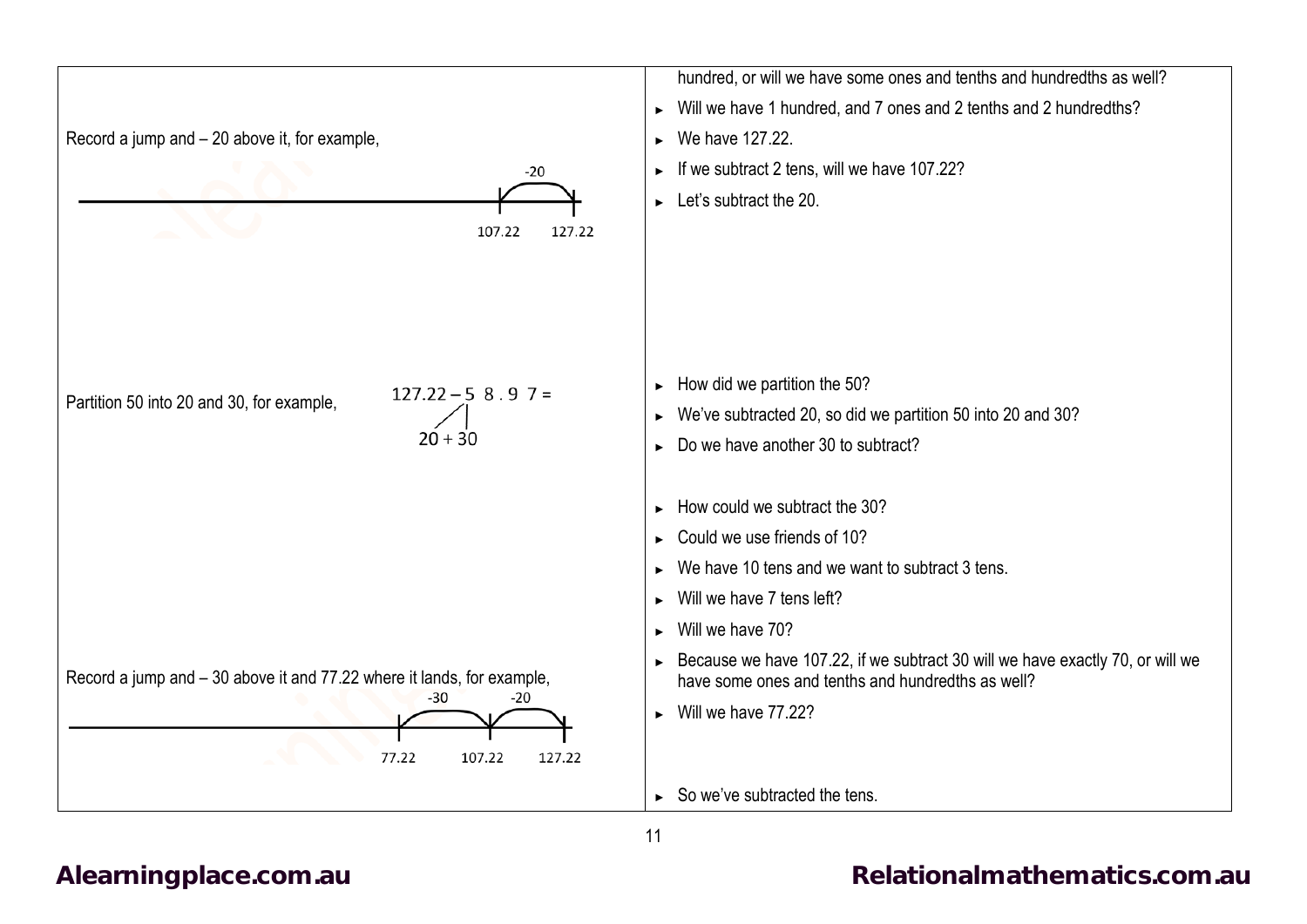![](_page_10_Figure_0.jpeg)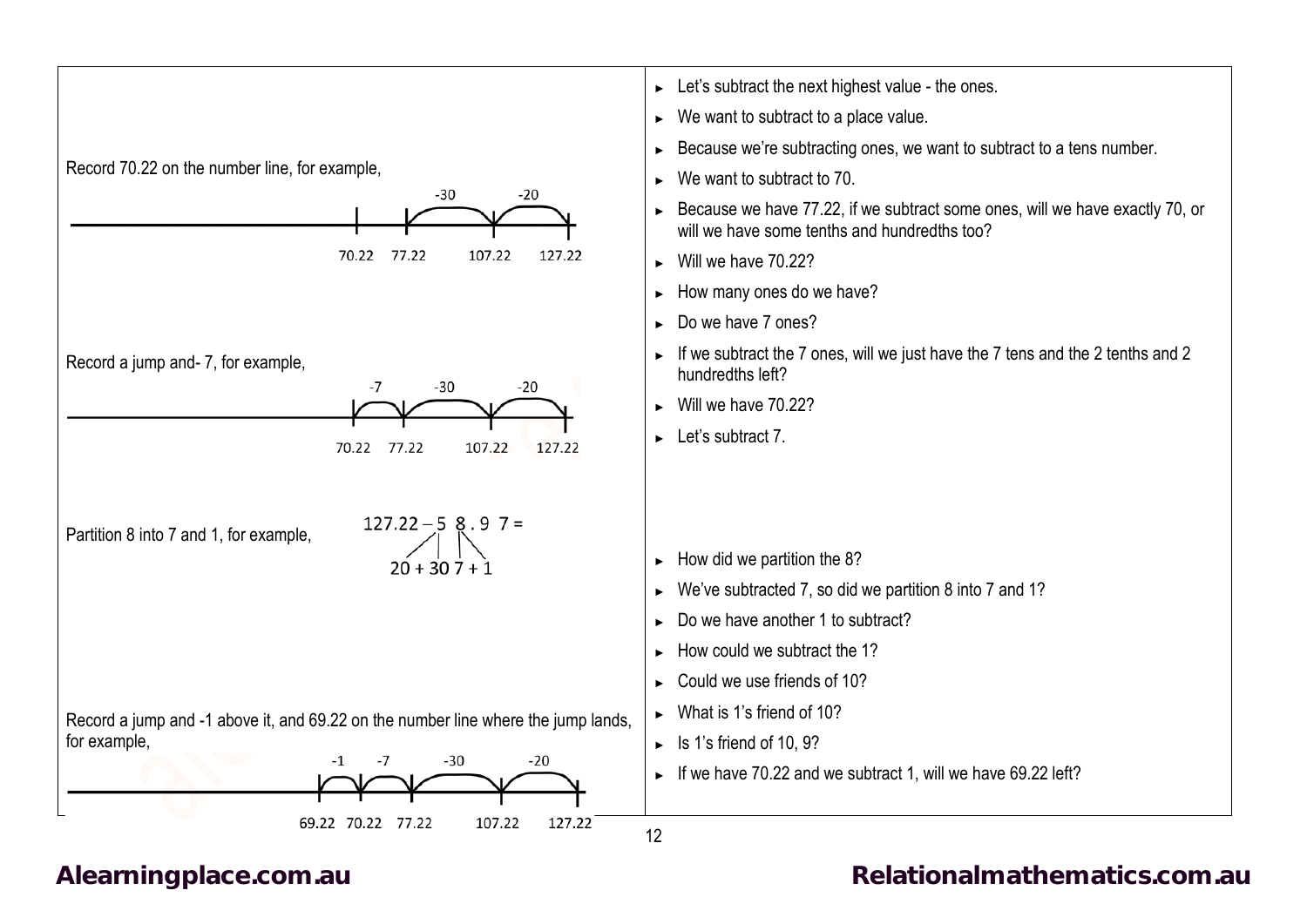![](_page_11_Figure_0.jpeg)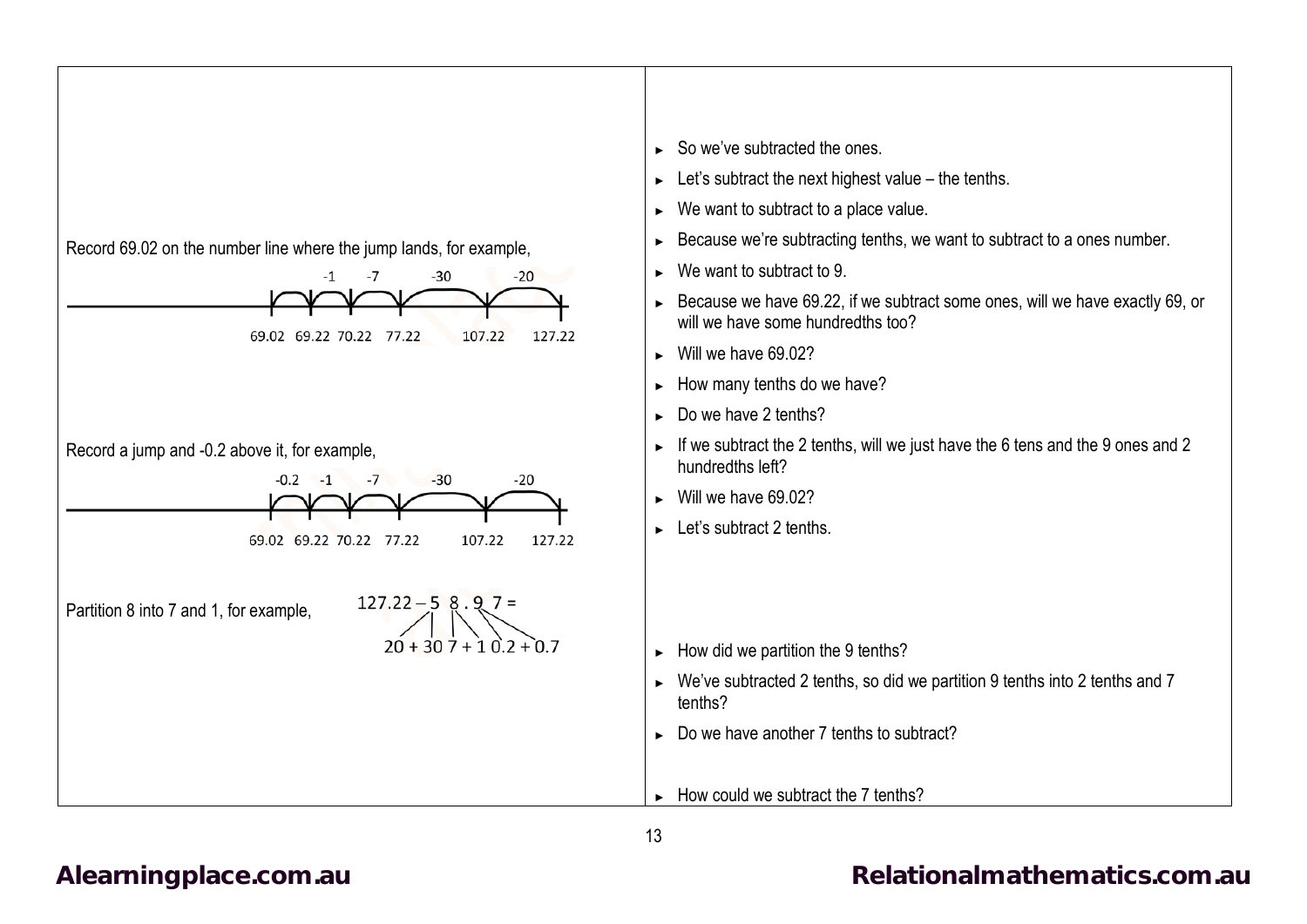|                                                                                      | $\triangleright$ So we've subtracted the ones.<br>Let's subtract the next highest value $-$ the tenths.<br>$\blacktriangleright$<br>We want to subtract to a place value.<br>$\blacktriangleright$ |
|--------------------------------------------------------------------------------------|----------------------------------------------------------------------------------------------------------------------------------------------------------------------------------------------------|
| Record 69.02 on the number line where the jump lands, for example,                   | Because we're subtracting tenths, we want to subtract to a ones number.<br>$\blacktriangleright$                                                                                                   |
| $-7$<br>$-1$<br>-30<br>-20                                                           | We want to subtract to 9.<br>$\blacktriangleright$                                                                                                                                                 |
| 69.02 69.22 70.22 77.22<br>107.22<br>127.22                                          | Because we have 69.22, if we subtract some ones, will we have exactly 69, or<br>$\blacktriangleright$<br>will we have some hundredths too?                                                         |
|                                                                                      | $\triangleright$ Will we have 69.02?                                                                                                                                                               |
|                                                                                      | How many tenths do we have?<br>$\blacktriangleright$                                                                                                                                               |
|                                                                                      | Do we have 2 tenths?<br>$\blacktriangleright$                                                                                                                                                      |
| Record a jump and -0.2 above it, for example,<br>$-0.2$ $-1$<br>$-7$<br>$-30$<br>-20 | If we subtract the 2 tenths, will we just have the 6 tens and the 9 ones and 2<br>$\blacktriangleright$<br>hundredths left?                                                                        |
|                                                                                      | Will we have 69,02?<br>$\blacktriangleright$                                                                                                                                                       |
| 69.02 69.22 70.22 77.22<br>107.22<br>127.22                                          | Let's subtract 2 tenths.<br>$\blacktriangleright$                                                                                                                                                  |
| $127.22 - 58.97 =$<br>Partition 8 into 7 and 1, for example,                         |                                                                                                                                                                                                    |
| $20 + 307 + 10.2 + 0.7$                                                              | How did we partition the 9 tenths?<br>$\blacktriangleright$                                                                                                                                        |
|                                                                                      | We've subtracted 2 tenths, so did we partition 9 tenths into 2 tenths and 7<br>tenths?                                                                                                             |
|                                                                                      | Do we have another 7 tenths to subtract?                                                                                                                                                           |
|                                                                                      | $\blacktriangleright$ How could we subtract the 7 tenths?                                                                                                                                          |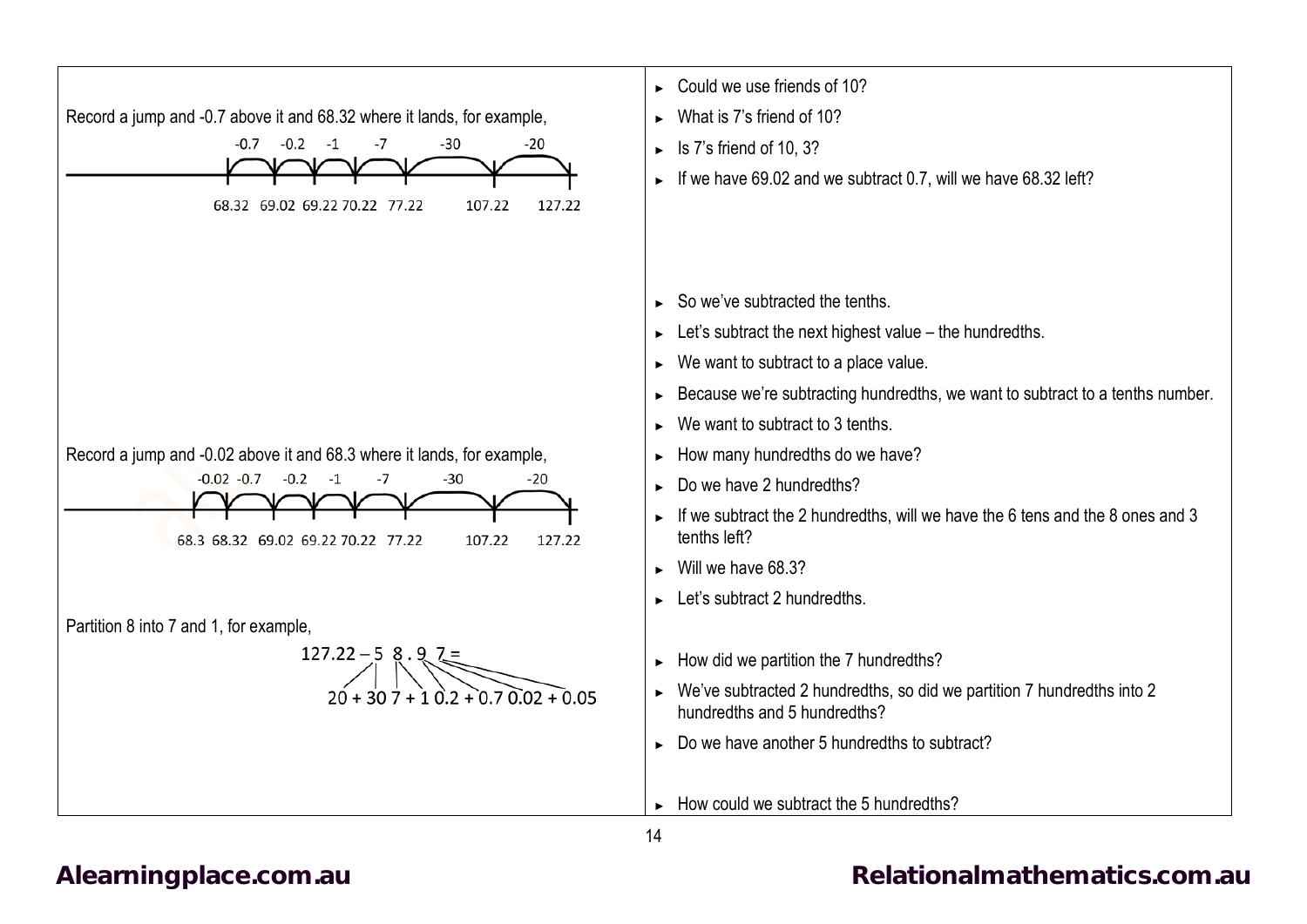![](_page_13_Figure_0.jpeg)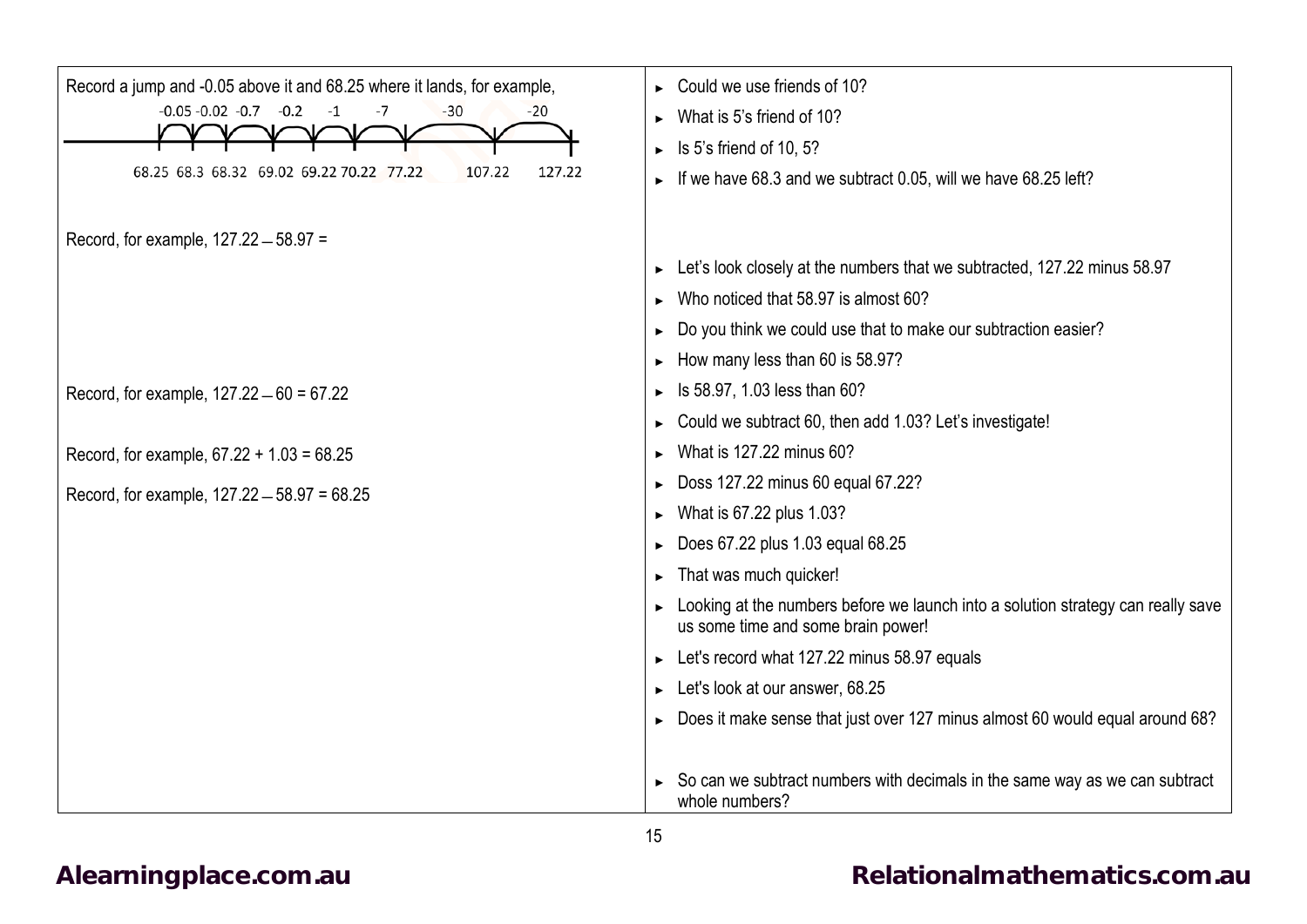| Record a jump and -0.05 above it and 68.25 where it lands, for example,<br>$-0.05 - 0.02 - 0.7 - 0.2$<br>$-1$<br>$-30$<br>$-20$<br>-7<br>68.25 68.3 68.32 69.02 69.22 70.22 77.22<br>107.22<br>127.22 | $\triangleright$ Could we use friends of 10?<br>What is 5's friend of 10?<br>Þ.<br>Is 5's friend of 10, 5?<br>►<br>If we have 68.3 and we subtract 0.05, will we have 68.25 left? |
|-------------------------------------------------------------------------------------------------------------------------------------------------------------------------------------------------------|-----------------------------------------------------------------------------------------------------------------------------------------------------------------------------------|
| Record, for example, 127.22 - 58.97 =                                                                                                                                                                 |                                                                                                                                                                                   |
|                                                                                                                                                                                                       | Let's look closely at the numbers that we subtracted, 127.22 minus 58.97                                                                                                          |
|                                                                                                                                                                                                       | Who noticed that 58.97 is almost 60?                                                                                                                                              |
|                                                                                                                                                                                                       | Do you think we could use that to make our subtraction easier?<br>▶                                                                                                               |
|                                                                                                                                                                                                       | How many less than 60 is 58.97?                                                                                                                                                   |
| Record, for example, $127.22 - 60 = 67.22$                                                                                                                                                            | Is 58.97, 1.03 less than 60?<br>▶                                                                                                                                                 |
|                                                                                                                                                                                                       | Could we subtract 60, then add 1.03? Let's investigate!                                                                                                                           |
| Record, for example, $67.22 + 1.03 = 68.25$                                                                                                                                                           | What is 127.22 minus 60?                                                                                                                                                          |
| Record, for example, 127.22 - 58.97 = 68.25                                                                                                                                                           | Doss 127.22 minus 60 equal 67.22?                                                                                                                                                 |
|                                                                                                                                                                                                       | What is 67.22 plus 1.03?                                                                                                                                                          |
|                                                                                                                                                                                                       | Does 67.22 plus 1.03 equal 68.25                                                                                                                                                  |
|                                                                                                                                                                                                       | That was much quicker!                                                                                                                                                            |
|                                                                                                                                                                                                       | Looking at the numbers before we launch into a solution strategy can really save<br>us some time and some brain power!                                                            |
|                                                                                                                                                                                                       | $\blacktriangleright$ Let's record what 127.22 minus 58.97 equals                                                                                                                 |
|                                                                                                                                                                                                       | $\blacktriangleright$ Let's look at our answer, 68.25                                                                                                                             |
|                                                                                                                                                                                                       | Does it make sense that just over 127 minus almost 60 would equal around 68?                                                                                                      |
|                                                                                                                                                                                                       | So can we subtract numbers with decimals in the same way as we can subtract<br>whole numbers?                                                                                     |